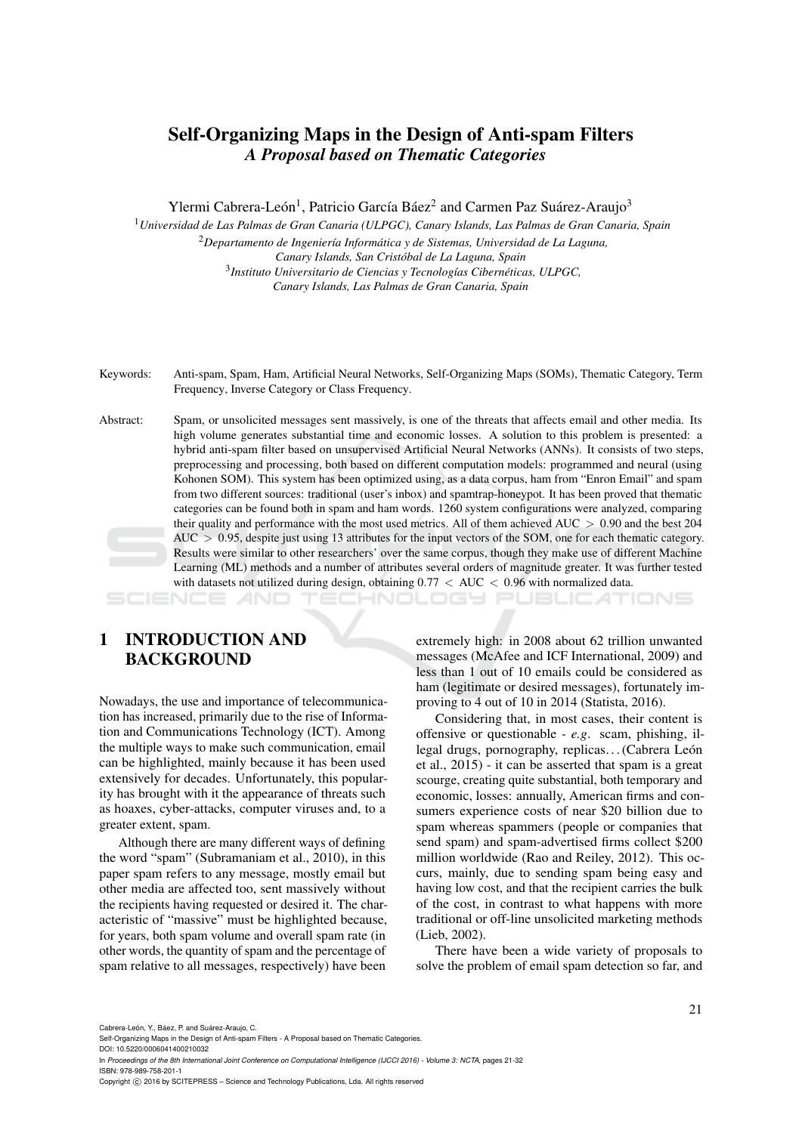# Self-Organizing Maps in the Design of Anti-spam Filters *A Proposal based on Thematic Categories*

Ylermi Cabrera-León<sup>1</sup>, Patricio García Báez<sup>2</sup> and Carmen Paz Suárez-Araujo<sup>3</sup>

<sup>1</sup>*Universidad de Las Palmas de Gran Canaria (ULPGC), Canary Islands, Las Palmas de Gran Canaria, Spain* <sup>2</sup>*Departamento de Ingeniería Informática y de Sistemas, Universidad de La Laguna, Canary Islands, San Cristóbal de La Laguna, Spain* 3 *Instituto Universitario de Ciencias y Tecnologías Cibernéticas, ULPGC, Canary Islands, Las Palmas de Gran Canaria, Spain*

Keywords: Anti-spam, Spam, Ham, Artificial Neural Networks, Self-Organizing Maps (SOMs), Thematic Category, Term Frequency, Inverse Category or Class Frequency.

Abstract: Spam, or unsolicited messages sent massively, is one of the threats that affects email and other media. Its high volume generates substantial time and economic losses. A solution to this problem is presented: a hybrid anti-spam filter based on unsupervised Artificial Neural Networks (ANNs). It consists of two steps, preprocessing and processing, both based on different computation models: programmed and neural (using Kohonen SOM). This system has been optimized using, as a data corpus, ham from "Enron Email" and spam from two different sources: traditional (user's inbox) and spamtrap-honeypot. It has been proved that thematic categories can be found both in spam and ham words. 1260 system configurations were analyzed, comparing their quality and performance with the most used metrics. All of them achieved  $AUC > 0.90$  and the best 204 AUC > 0.95, despite just using 13 attributes for the input vectors of the SOM, one for each thematic category. Results were similar to other researchers' over the same corpus, though they make use of different Machine Learning (ML) methods and a number of attributes several orders of magnitude greater. It was further tested with datasets not utilized during design, obtaining  $0.77 < AUC < 0.96$  with normalized data.

### -INOLOGY PUBLIC ATIONS

# 1 INTRODUCTION AND BACKGROUND

Nowadays, the use and importance of telecommunication has increased, primarily due to the rise of Information and Communications Technology (ICT). Among the multiple ways to make such communication, email can be highlighted, mainly because it has been used extensively for decades. Unfortunately, this popularity has brought with it the appearance of threats such as hoaxes, cyber-attacks, computer viruses and, to a greater extent, spam.

Although there are many different ways of defining the word "spam" (Subramaniam et al., 2010), in this paper spam refers to any message, mostly email but other media are affected too, sent massively without the recipients having requested or desired it. The characteristic of "massive" must be highlighted because, for years, both spam volume and overall spam rate (in other words, the quantity of spam and the percentage of spam relative to all messages, respectively) have been extremely high: in 2008 about 62 trillion unwanted messages (McAfee and ICF International, 2009) and less than 1 out of 10 emails could be considered as ham (legitimate or desired messages), fortunately improving to 4 out of 10 in 2014 (Statista, 2016).

Considering that, in most cases, their content is offensive or questionable - *e.g*. scam, phishing, illegal drugs, pornography, replicas. . . (Cabrera León et al., 2015) - it can be asserted that spam is a great scourge, creating quite substantial, both temporary and economic, losses: annually, American firms and consumers experience costs of near \$20 billion due to spam whereas spammers (people or companies that send spam) and spam-advertised firms collect \$200 million worldwide (Rao and Reiley, 2012). This occurs, mainly, due to sending spam being easy and having low cost, and that the recipient carries the bulk of the cost, in contrast to what happens with more traditional or off-line unsolicited marketing methods (Lieb, 2002).

There have been a wide variety of proposals to solve the problem of email spam detection so far, and

Cabrera-León, Y., Báez, P. and Suárez-Araujo, C.

Self-Organizing Maps in the Design of Anti-spam Filters - A Proposal based on Thematic Categories. DOI: 10.5220/0006041400210032

In *Proceedings of the 8th International Joint Conference on Computational Intelligence (IJCCI 2016) - Volume 3: NCTA*, pages 21-32 ISBN: 978-989-758-201-1

Copyright © 2016 by SCITEPRESS - Science and Technology Publications, Lda. All rights reserved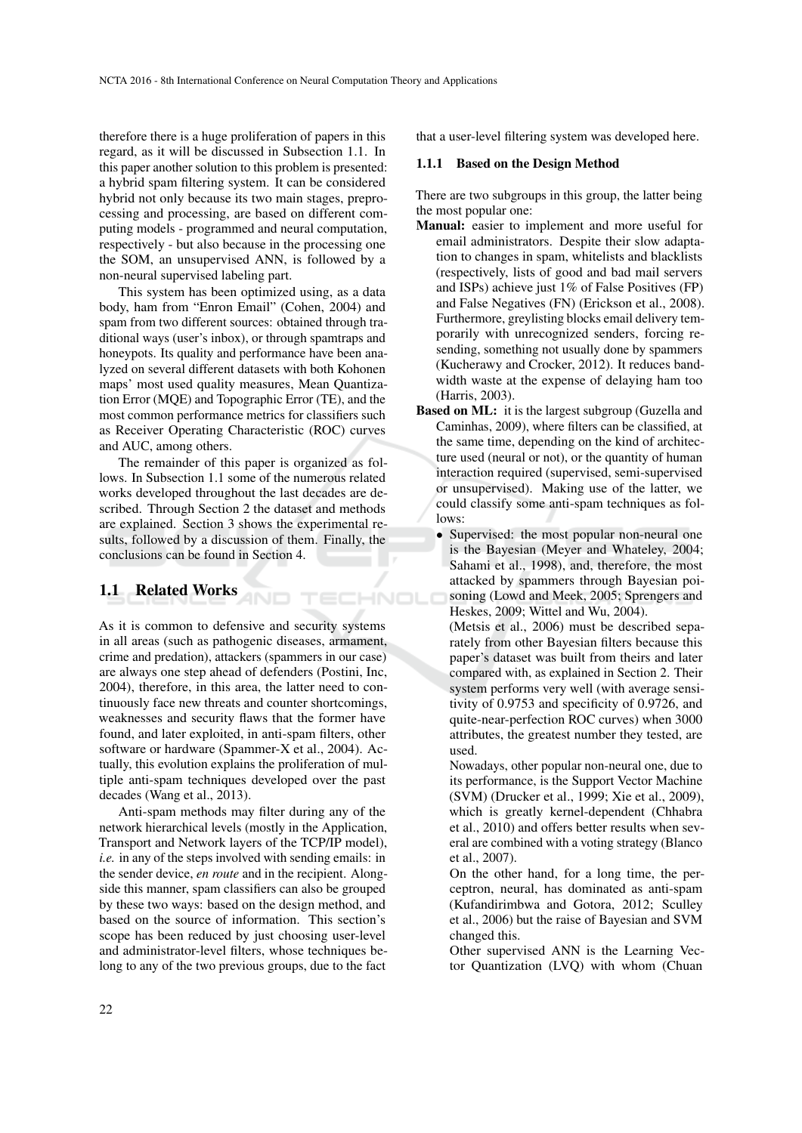therefore there is a huge proliferation of papers in this regard, as it will be discussed in Subsection 1.1. In this paper another solution to this problem is presented: a hybrid spam filtering system. It can be considered hybrid not only because its two main stages, preprocessing and processing, are based on different computing models - programmed and neural computation, respectively - but also because in the processing one the SOM, an unsupervised ANN, is followed by a non-neural supervised labeling part.

This system has been optimized using, as a data body, ham from "Enron Email" (Cohen, 2004) and spam from two different sources: obtained through traditional ways (user's inbox), or through spamtraps and honeypots. Its quality and performance have been analyzed on several different datasets with both Kohonen maps' most used quality measures, Mean Quantization Error (MQE) and Topographic Error (TE), and the most common performance metrics for classifiers such as Receiver Operating Characteristic (ROC) curves and AUC, among others.

The remainder of this paper is organized as follows. In Subsection 1.1 some of the numerous related works developed throughout the last decades are described. Through Section 2 the dataset and methods are explained. Section 3 shows the experimental results, followed by a discussion of them. Finally, the conclusions can be found in Section 4.

TECHNOL

### 1.1 Related Works

As it is common to defensive and security systems in all areas (such as pathogenic diseases, armament, crime and predation), attackers (spammers in our case) are always one step ahead of defenders (Postini, Inc, 2004), therefore, in this area, the latter need to continuously face new threats and counter shortcomings, weaknesses and security flaws that the former have found, and later exploited, in anti-spam filters, other software or hardware (Spammer-X et al., 2004). Actually, this evolution explains the proliferation of multiple anti-spam techniques developed over the past decades (Wang et al., 2013).

Anti-spam methods may filter during any of the network hierarchical levels (mostly in the Application, Transport and Network layers of the TCP/IP model), *i.e.* in any of the steps involved with sending emails: in the sender device, *en route* and in the recipient. Alongside this manner, spam classifiers can also be grouped by these two ways: based on the design method, and based on the source of information. This section's scope has been reduced by just choosing user-level and administrator-level filters, whose techniques belong to any of the two previous groups, due to the fact that a user-level filtering system was developed here.

#### 1.1.1 Based on the Design Method

There are two subgroups in this group, the latter being the most popular one:

- Manual: easier to implement and more useful for email administrators. Despite their slow adaptation to changes in spam, whitelists and blacklists (respectively, lists of good and bad mail servers and ISPs) achieve just 1% of False Positives (FP) and False Negatives (FN) (Erickson et al., 2008). Furthermore, greylisting blocks email delivery temporarily with unrecognized senders, forcing resending, something not usually done by spammers (Kucherawy and Crocker, 2012). It reduces bandwidth waste at the expense of delaying ham too (Harris, 2003).
- **Based on ML:** it is the largest subgroup (Guzella and Caminhas, 2009), where filters can be classified, at the same time, depending on the kind of architecture used (neural or not), or the quantity of human interaction required (supervised, semi-supervised or unsupervised). Making use of the latter, we could classify some anti-spam techniques as follows:
	- Supervised: the most popular non-neural one is the Bayesian (Meyer and Whateley, 2004; Sahami et al., 1998), and, therefore, the most attacked by spammers through Bayesian poisoning (Lowd and Meek, 2005; Sprengers and Heskes, 2009; Wittel and Wu, 2004).

(Metsis et al., 2006) must be described separately from other Bayesian filters because this paper's dataset was built from theirs and later compared with, as explained in Section 2. Their system performs very well (with average sensitivity of 0.9753 and specificity of 0.9726, and quite-near-perfection ROC curves) when 3000 attributes, the greatest number they tested, are used.

Nowadays, other popular non-neural one, due to its performance, is the Support Vector Machine (SVM) (Drucker et al., 1999; Xie et al., 2009), which is greatly kernel-dependent (Chhabra et al., 2010) and offers better results when several are combined with a voting strategy (Blanco et al., 2007).

On the other hand, for a long time, the perceptron, neural, has dominated as anti-spam (Kufandirimbwa and Gotora, 2012; Sculley et al., 2006) but the raise of Bayesian and SVM changed this.

Other supervised ANN is the Learning Vector Quantization (LVQ) with whom (Chuan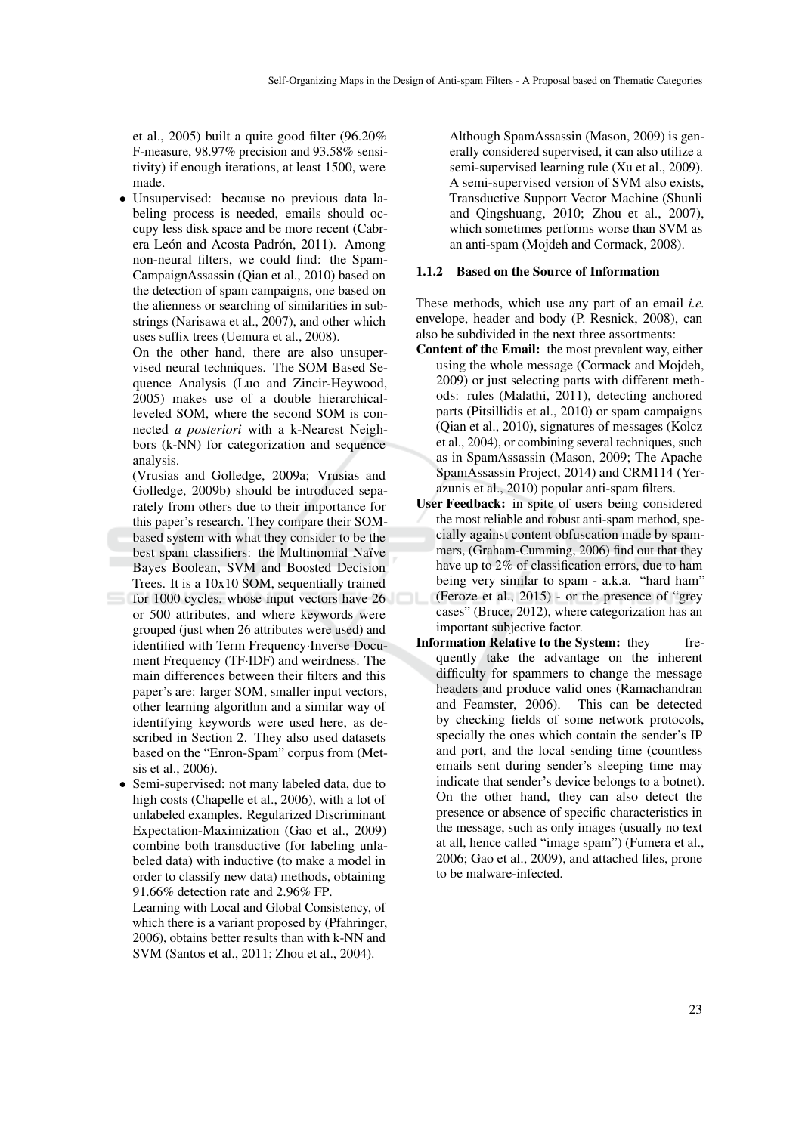et al., 2005) built a quite good filter (96.20% F-measure, 98.97% precision and 93.58% sensitivity) if enough iterations, at least 1500, were made.

• Unsupervised: because no previous data labeling process is needed, emails should occupy less disk space and be more recent (Cabrera León and Acosta Padrón, 2011). Among non-neural filters, we could find: the Spam-CampaignAssassin (Qian et al., 2010) based on the detection of spam campaigns, one based on the alienness or searching of similarities in substrings (Narisawa et al., 2007), and other which uses suffix trees (Uemura et al., 2008).

On the other hand, there are also unsupervised neural techniques. The SOM Based Sequence Analysis (Luo and Zincir-Heywood, 2005) makes use of a double hierarchicalleveled SOM, where the second SOM is connected *a posteriori* with a k-Nearest Neighbors (k-NN) for categorization and sequence analysis.

(Vrusias and Golledge, 2009a; Vrusias and Golledge, 2009b) should be introduced separately from others due to their importance for this paper's research. They compare their SOMbased system with what they consider to be the best spam classifiers: the Multinomial Naïve Bayes Boolean, SVM and Boosted Decision Trees. It is a 10x10 SOM, sequentially trained for 1000 cycles, whose input vectors have 26 or 500 attributes, and where keywords were grouped (just when 26 attributes were used) and identified with Term Frequency·Inverse Document Frequency (TF·IDF) and weirdness. The main differences between their filters and this paper's are: larger SOM, smaller input vectors, other learning algorithm and a similar way of identifying keywords were used here, as described in Section 2. They also used datasets based on the "Enron-Spam" corpus from (Metsis et al., 2006).

• Semi-supervised: not many labeled data, due to high costs (Chapelle et al., 2006), with a lot of unlabeled examples. Regularized Discriminant Expectation-Maximization (Gao et al., 2009) combine both transductive (for labeling unlabeled data) with inductive (to make a model in order to classify new data) methods, obtaining 91.66% detection rate and 2.96% FP.

Learning with Local and Global Consistency, of which there is a variant proposed by (Pfahringer, 2006), obtains better results than with k-NN and SVM (Santos et al., 2011; Zhou et al., 2004).

Although SpamAssassin (Mason, 2009) is generally considered supervised, it can also utilize a semi-supervised learning rule (Xu et al., 2009). A semi-supervised version of SVM also exists, Transductive Support Vector Machine (Shunli and Qingshuang, 2010; Zhou et al., 2007), which sometimes performs worse than SVM as an anti-spam (Mojdeh and Cormack, 2008).

#### 1.1.2 Based on the Source of Information

These methods, which use any part of an email *i.e.* envelope, header and body (P. Resnick, 2008), can also be subdivided in the next three assortments:

- Content of the Email: the most prevalent way, either using the whole message (Cormack and Mojdeh, 2009) or just selecting parts with different methods: rules (Malathi, 2011), detecting anchored parts (Pitsillidis et al., 2010) or spam campaigns (Qian et al., 2010), signatures of messages (Kolcz et al., 2004), or combining several techniques, such as in SpamAssassin (Mason, 2009; The Apache SpamAssassin Project, 2014) and CRM114 (Yerazunis et al., 2010) popular anti-spam filters.
- User Feedback: in spite of users being considered the most reliable and robust anti-spam method, specially against content obfuscation made by spammers, (Graham-Cumming, 2006) find out that they have up to 2% of classification errors, due to ham being very similar to spam - a.k.a. "hard ham" (Feroze et al., 2015) - or the presence of "grey cases" (Bruce, 2012), where categorization has an important subjective factor.
- Information Relative to the System: they frequently take the advantage on the inherent difficulty for spammers to change the message headers and produce valid ones (Ramachandran<br>and Feamster, 2006). This can be detected and Feamster, 2006). by checking fields of some network protocols, specially the ones which contain the sender's IP and port, and the local sending time (countless emails sent during sender's sleeping time may indicate that sender's device belongs to a botnet). On the other hand, they can also detect the presence or absence of specific characteristics in the message, such as only images (usually no text at all, hence called "image spam") (Fumera et al., 2006; Gao et al., 2009), and attached files, prone to be malware-infected.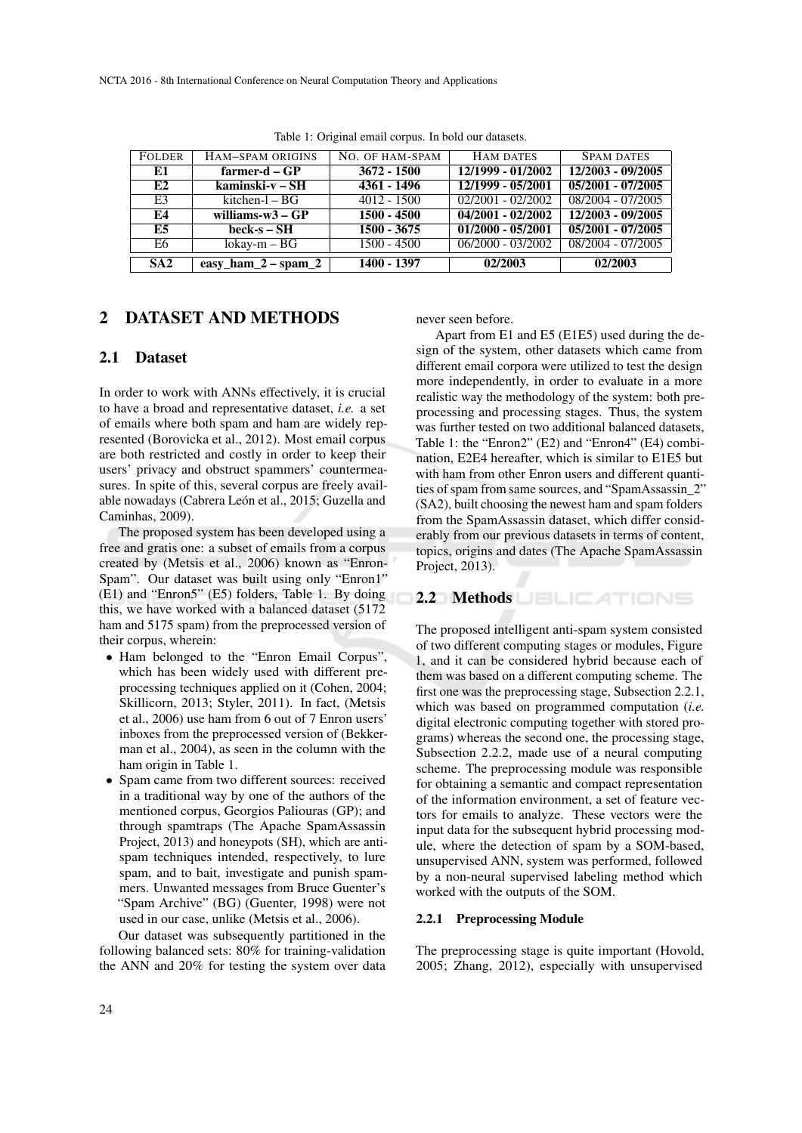| <b>FOLDER</b>  | HAM-SPAM ORIGINS    | NO. OF HAM-SPAM | HAM DATES           | <b>SPAM DATES</b>   |
|----------------|---------------------|-----------------|---------------------|---------------------|
| E1             | $farmer-d - GP$     | $3672 - 1500$   | 12/1999 - 01/2002   | 12/2003 - 09/2005   |
| E <sub>2</sub> | $k$ aminski-v – SH  | 4361 - 1496     | 12/1999 - 05/2001   | 05/2001 - 07/2005   |
| E <sub>3</sub> | $kitchen-I-BG$      | $4012 - 1500$   | $02/2001 - 02/2002$ | 08/2004 - 07/2005   |
| E4             | williams- $w3 - GP$ | $1500 - 4500$   | $04/2001 - 02/2002$ | 12/2003 - 09/2005   |
| E5             | beck-s – SH         | 1500 - 3675     | $01/2000 - 05/2001$ | $05/2001 - 07/2005$ |
| E6             | $lokav-m-BG$        | $1500 - 4500$   | $06/2000 - 03/2002$ | 08/2004 - 07/2005   |
| SA2            | easy_ham_2 – spam_2 | 1400 - 1397     | 02/2003             | 02/2003             |

Table 1: Original email corpus. In bold our datasets.

## 2 DATASET AND METHODS

### 2.1 Dataset

In order to work with ANNs effectively, it is crucial to have a broad and representative dataset, *i.e.* a set of emails where both spam and ham are widely represented (Borovicka et al., 2012). Most email corpus are both restricted and costly in order to keep their users' privacy and obstruct spammers' countermeasures. In spite of this, several corpus are freely available nowadays (Cabrera León et al., 2015; Guzella and Caminhas, 2009).

The proposed system has been developed using a free and gratis one: a subset of emails from a corpus created by (Metsis et al., 2006) known as "Enron-Spam". Our dataset was built using only "Enron1" (E1) and "Enron5" (E5) folders, Table 1. By doing this, we have worked with a balanced dataset (5172 ham and 5175 spam) from the preprocessed version of their corpus, wherein:

- Ham belonged to the "Enron Email Corpus", which has been widely used with different preprocessing techniques applied on it (Cohen, 2004; Skillicorn, 2013; Styler, 2011). In fact, (Metsis et al., 2006) use ham from 6 out of 7 Enron users' inboxes from the preprocessed version of (Bekkerman et al., 2004), as seen in the column with the ham origin in Table 1.
- Spam came from two different sources: received in a traditional way by one of the authors of the mentioned corpus, Georgios Paliouras (GP); and through spamtraps (The Apache SpamAssassin Project, 2013) and honeypots (SH), which are antispam techniques intended, respectively, to lure spam, and to bait, investigate and punish spammers. Unwanted messages from Bruce Guenter's "Spam Archive" (BG) (Guenter, 1998) were not used in our case, unlike (Metsis et al., 2006).

Our dataset was subsequently partitioned in the following balanced sets: 80% for training-validation the ANN and 20% for testing the system over data never seen before.

Apart from E1 and E5 (E1E5) used during the design of the system, other datasets which came from different email corpora were utilized to test the design more independently, in order to evaluate in a more realistic way the methodology of the system: both preprocessing and processing stages. Thus, the system was further tested on two additional balanced datasets, Table 1: the "Enron2" (E2) and "Enron4" (E4) combination, E2E4 hereafter, which is similar to E1E5 but with ham from other Enron users and different quantities of spam from same sources, and "SpamAssassin\_2" (SA2), built choosing the newest ham and spam folders from the SpamAssassin dataset, which differ considerably from our previous datasets in terms of content, topics, origins and dates (The Apache SpamAssassin Project, 2013).

## 2.2 Methods **DELICATIONS**

The proposed intelligent anti-spam system consisted of two different computing stages or modules, Figure 1, and it can be considered hybrid because each of them was based on a different computing scheme. The first one was the preprocessing stage, Subsection 2.2.1, which was based on programmed computation (*i.e.* digital electronic computing together with stored programs) whereas the second one, the processing stage, Subsection 2.2.2, made use of a neural computing scheme. The preprocessing module was responsible for obtaining a semantic and compact representation of the information environment, a set of feature vectors for emails to analyze. These vectors were the input data for the subsequent hybrid processing module, where the detection of spam by a SOM-based, unsupervised ANN, system was performed, followed by a non-neural supervised labeling method which worked with the outputs of the SOM.

#### 2.2.1 Preprocessing Module

The preprocessing stage is quite important (Hovold, 2005; Zhang, 2012), especially with unsupervised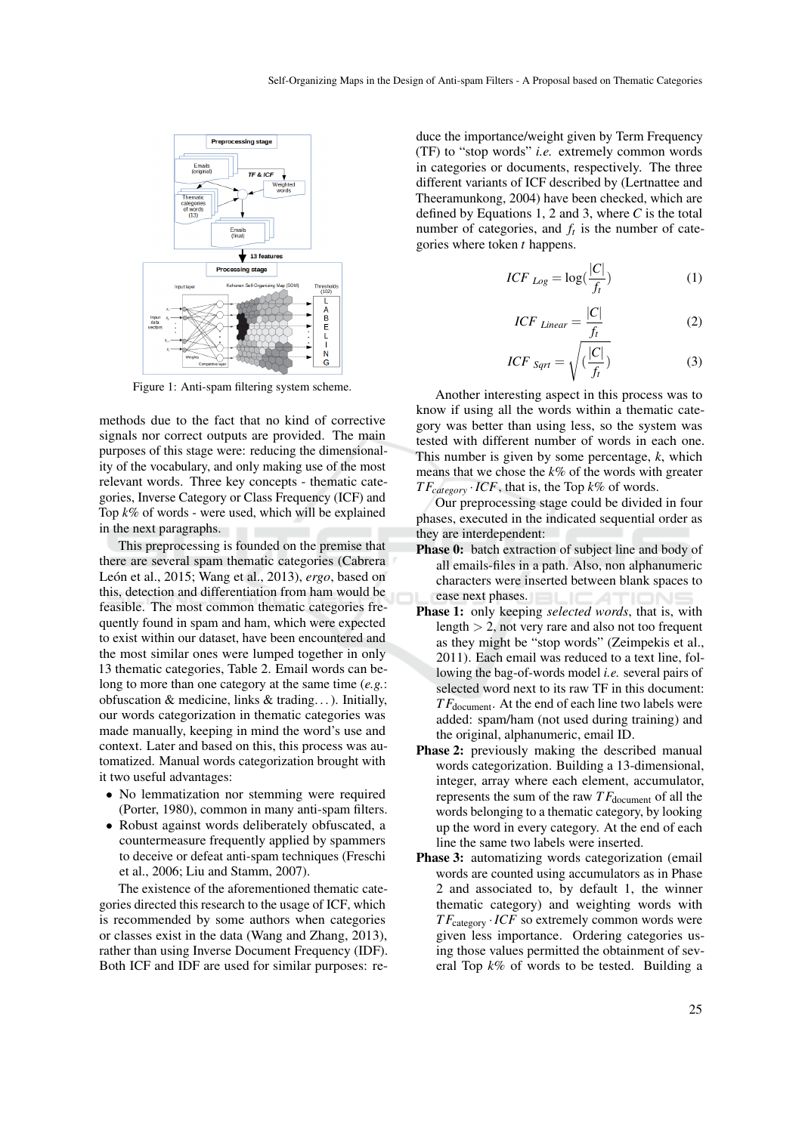

Figure 1: Anti-spam filtering system scheme.

methods due to the fact that no kind of corrective signals nor correct outputs are provided. The main purposes of this stage were: reducing the dimensionality of the vocabulary, and only making use of the most relevant words. Three key concepts - thematic categories, Inverse Category or Class Frequency (ICF) and Top *k*% of words - were used, which will be explained in the next paragraphs.

This preprocessing is founded on the premise that there are several spam thematic categories (Cabrera León et al., 2015; Wang et al., 2013), *ergo*, based on this, detection and differentiation from ham would be feasible. The most common thematic categories frequently found in spam and ham, which were expected to exist within our dataset, have been encountered and the most similar ones were lumped together in only 13 thematic categories, Table 2. Email words can belong to more than one category at the same time (*e.g.*: obfuscation & medicine, links & trading. . . ). Initially, our words categorization in thematic categories was made manually, keeping in mind the word's use and context. Later and based on this, this process was automatized. Manual words categorization brought with it two useful advantages:

- No lemmatization nor stemming were required (Porter, 1980), common in many anti-spam filters.
- Robust against words deliberately obfuscated, a countermeasure frequently applied by spammers to deceive or defeat anti-spam techniques (Freschi et al., 2006; Liu and Stamm, 2007).

The existence of the aforementioned thematic categories directed this research to the usage of ICF, which is recommended by some authors when categories or classes exist in the data (Wang and Zhang, 2013), rather than using Inverse Document Frequency (IDF). Both ICF and IDF are used for similar purposes: re-

duce the importance/weight given by Term Frequency (TF) to "stop words" *i.e.* extremely common words in categories or documents, respectively. The three different variants of ICF described by (Lertnattee and Theeramunkong, 2004) have been checked, which are defined by Equations 1, 2 and 3, where *C* is the total number of categories, and  $f_t$  is the number of categories where token *t* happens.

$$
ICF_{Log} = \log(\frac{|C|}{f_t})
$$
 (1)

*ICF Linear* = 
$$
\frac{|C|}{f_t}
$$
 (2)

*ICF* 
$$
s_{qrt} = \sqrt{\left(\frac{|C|}{f_t}\right)}
$$
 (3)

Another interesting aspect in this process was to know if using all the words within a thematic category was better than using less, so the system was tested with different number of words in each one. This number is given by some percentage, *k*, which means that we chose the *k*% of the words with greater  $TF_{category} \cdot ICF$ , that is, the Top  $k\%$  of words.

Our preprocessing stage could be divided in four phases, executed in the indicated sequential order as they are interdependent:

- Phase 0: batch extraction of subject line and body of all emails-files in a path. Also, non alphanumeric characters were inserted between blank spaces to ease next phases.
- Phase 1: only keeping *selected words*, that is, with length  $> 2$ , not very rare and also not too frequent as they might be "stop words" (Zeimpekis et al., 2011). Each email was reduced to a text line, following the bag-of-words model *i.e.* several pairs of selected word next to its raw TF in this document: *T F*document. At the end of each line two labels were added: spam/ham (not used during training) and the original, alphanumeric, email ID.
- Phase 2: previously making the described manual words categorization. Building a 13-dimensional, integer, array where each element, accumulator, represents the sum of the raw  $TF_{\text{document}}$  of all the words belonging to a thematic category, by looking up the word in every category. At the end of each line the same two labels were inserted.
- Phase 3: automatizing words categorization (email words are counted using accumulators as in Phase 2 and associated to, by default 1, the winner thematic category) and weighting words with  $TF_{\text{category}} \cdot ICF$  so extremely common words were given less importance. Ordering categories using those values permitted the obtainment of several Top *k*% of words to be tested. Building a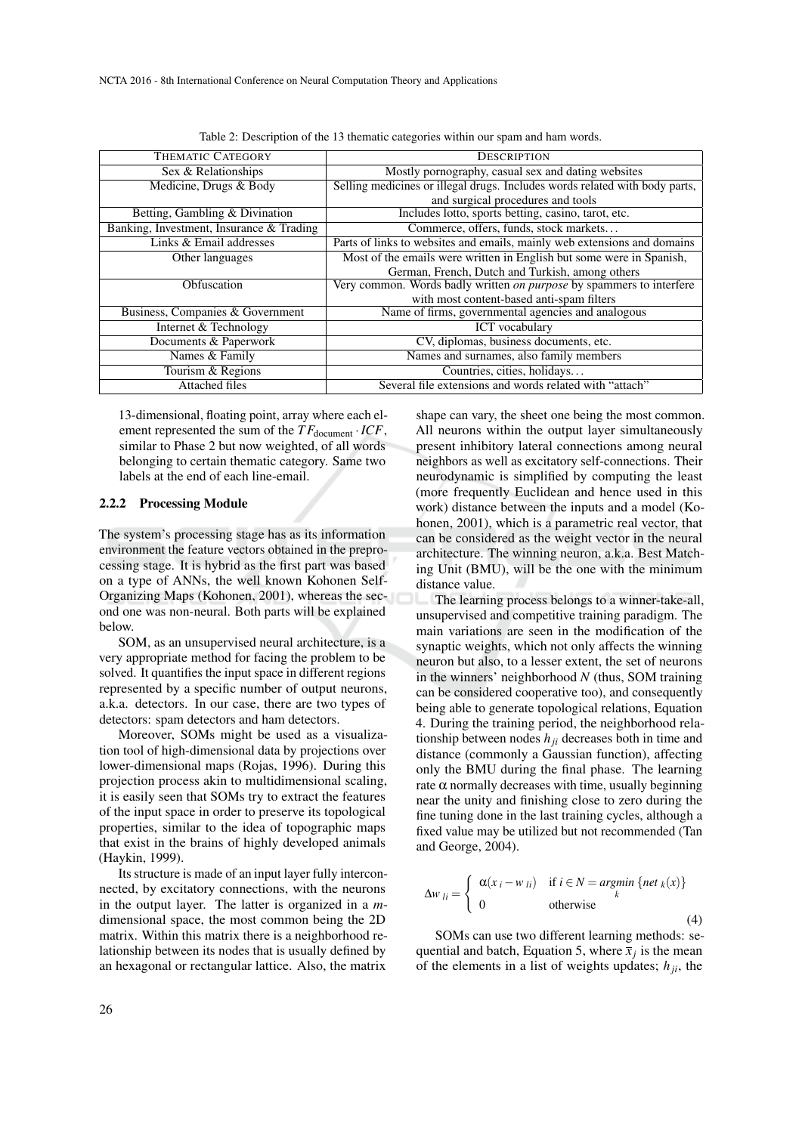| <b>DESCRIPTION</b>                                                          |  |  |
|-----------------------------------------------------------------------------|--|--|
| Mostly pornography, casual sex and dating websites                          |  |  |
| Selling medicines or illegal drugs. Includes words related with body parts, |  |  |
| and surgical procedures and tools                                           |  |  |
| Includes lotto, sports betting, casino, tarot, etc.                         |  |  |
| Commerce, offers, funds, stock markets                                      |  |  |
| Parts of links to websites and emails, mainly web extensions and domains    |  |  |
| Most of the emails were written in English but some were in Spanish,        |  |  |
| German, French, Dutch and Turkish, among others                             |  |  |
| Very common. Words badly written on purpose by spammers to interfere        |  |  |
| with most content-based anti-spam filters                                   |  |  |
| Name of firms, governmental agencies and analogous                          |  |  |
| <b>ICT</b> vocabulary                                                       |  |  |
| CV, diplomas, business documents, etc.                                      |  |  |
| Names and surnames, also family members                                     |  |  |
| Countries, cities, holidays                                                 |  |  |
| Several file extensions and words related with "attach"                     |  |  |
|                                                                             |  |  |

Table 2: Description of the 13 thematic categories within our spam and ham words.

13-dimensional, floating point, array where each element represented the sum of the  $TF_{\text{document}} \cdot ICF$ , similar to Phase 2 but now weighted, of all words belonging to certain thematic category. Same two labels at the end of each line-email.

#### 2.2.2 Processing Module

The system's processing stage has as its information environment the feature vectors obtained in the preprocessing stage. It is hybrid as the first part was based on a type of ANNs, the well known Kohonen Self-Organizing Maps (Kohonen, 2001), whereas the second one was non-neural. Both parts will be explained below.

SOM, as an unsupervised neural architecture, is a very appropriate method for facing the problem to be solved. It quantifies the input space in different regions represented by a specific number of output neurons, a.k.a. detectors. In our case, there are two types of detectors: spam detectors and ham detectors.

Moreover, SOMs might be used as a visualization tool of high-dimensional data by projections over lower-dimensional maps (Rojas, 1996). During this projection process akin to multidimensional scaling, it is easily seen that SOMs try to extract the features of the input space in order to preserve its topological properties, similar to the idea of topographic maps that exist in the brains of highly developed animals (Haykin, 1999).

Its structure is made of an input layer fully interconnected, by excitatory connections, with the neurons in the output layer. The latter is organized in a *m*dimensional space, the most common being the 2D matrix. Within this matrix there is a neighborhood relationship between its nodes that is usually defined by an hexagonal or rectangular lattice. Also, the matrix shape can vary, the sheet one being the most common. All neurons within the output layer simultaneously present inhibitory lateral connections among neural neighbors as well as excitatory self-connections. Their neurodynamic is simplified by computing the least (more frequently Euclidean and hence used in this work) distance between the inputs and a model (Kohonen, 2001), which is a parametric real vector, that can be considered as the weight vector in the neural architecture. The winning neuron, a.k.a. Best Matching Unit (BMU), will be the one with the minimum distance value.

The learning process belongs to a winner-take-all, unsupervised and competitive training paradigm. The main variations are seen in the modification of the synaptic weights, which not only affects the winning neuron but also, to a lesser extent, the set of neurons in the winners' neighborhood *N* (thus, SOM training can be considered cooperative too), and consequently being able to generate topological relations, Equation 4. During the training period, the neighborhood relationship between nodes *hji* decreases both in time and distance (commonly a Gaussian function), affecting only the BMU during the final phase. The learning rate  $\alpha$  normally decreases with time, usually beginning near the unity and finishing close to zero during the fine tuning done in the last training cycles, although a fixed value may be utilized but not recommended (Tan and George, 2004).

$$
\Delta w_{li} = \begin{cases} \alpha(x_i - w_{li}) & \text{if } i \in N = \underset{k}{\text{argmin}} \left\{ \underset{k}{\text{net}} \left\{ x_i(x) \right\} \right. \\ 0 & \text{otherwise} \end{cases} \tag{4}
$$

SOMs can use two different learning methods: sequential and batch, Equation 5, where  $\bar{x}_j$  is the mean of the elements in a list of weights updates;  $h_{ii}$ , the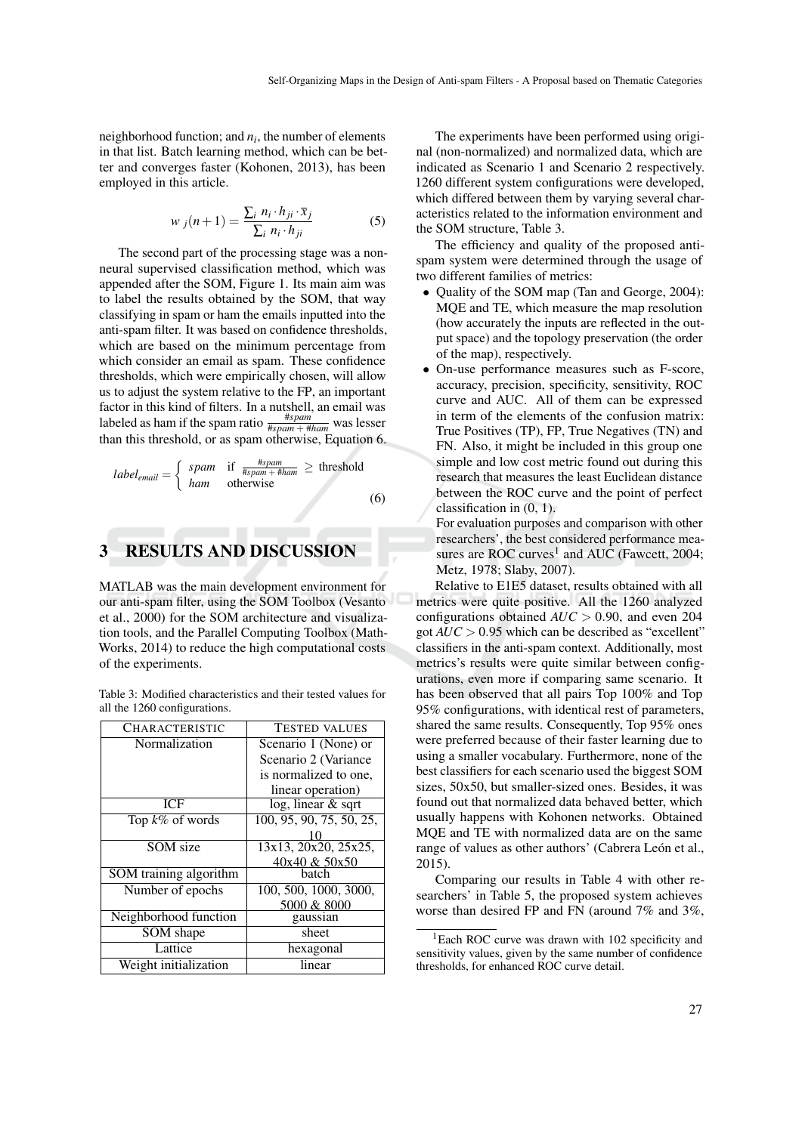neighborhood function; and *n<sup>i</sup>* , the number of elements in that list. Batch learning method, which can be better and converges faster (Kohonen, 2013), has been employed in this article.

$$
w_j(n+1) = \frac{\sum_i n_i \cdot h_{ji} \cdot \overline{x}_j}{\sum_i n_i \cdot h_{ji}} \tag{5}
$$

The second part of the processing stage was a nonneural supervised classification method, which was appended after the SOM, Figure 1. Its main aim was to label the results obtained by the SOM, that way classifying in spam or ham the emails inputted into the anti-spam filter. It was based on confidence thresholds, which are based on the minimum percentage from which consider an email as spam. These confidence thresholds, which were empirically chosen, will allow us to adjust the system relative to the FP, an important factor in this kind of filters. In a nutshell, an email was labeled as ham if the spam ratio #*spam* #*spam* <sup>+</sup> #*ham* was lesser than this threshold, or as spam otherwise, Equation 6.

$$
label_{email} = \begin{cases} span & \text{if } \frac{\#spam}{\#spam + \#ham} \ge \text{threshold} \\ ham & \text{otherwise} \end{cases}
$$
 (6)

## 3 RESULTS AND DISCUSSION

MATLAB was the main development environment for our anti-spam filter, using the SOM Toolbox (Vesanto et al., 2000) for the SOM architecture and visualization tools, and the Parallel Computing Toolbox (Math-Works, 2014) to reduce the high computational costs of the experiments.

Table 3: Modified characteristics and their tested values for all the 1260 configurations.

| <b>CHARACTERISTIC</b>  | <b>TESTED VALUES</b>     |
|------------------------|--------------------------|
| Normalization          | Scenario 1 (None) or     |
|                        | Scenario 2 (Variance     |
|                        | is normalized to one,    |
|                        | linear operation)        |
| <b>ICF</b>             | log, linear & sqrt       |
| Top $k\%$ of words     | 100, 95, 90, 75, 50, 25, |
|                        |                          |
| SOM size               | 13x13, 20x20, 25x25,     |
|                        | 40x40 & 50x50            |
| SOM training algorithm | hatch                    |
| Number of epochs       | 100, 500, 1000, 3000,    |
|                        | 5000 & 8000              |
| Neighborhood function  | gaussian                 |
| SOM shape              | sheet                    |
| Lattice                | hexagonal                |
| Weight initialization  | linear                   |

The experiments have been performed using original (non-normalized) and normalized data, which are indicated as Scenario 1 and Scenario 2 respectively. 1260 different system configurations were developed, which differed between them by varying several characteristics related to the information environment and the SOM structure, Table 3.

The efficiency and quality of the proposed antispam system were determined through the usage of two different families of metrics:

- Quality of the SOM map (Tan and George, 2004): MQE and TE, which measure the map resolution (how accurately the inputs are reflected in the output space) and the topology preservation (the order of the map), respectively.
- On-use performance measures such as F-score, accuracy, precision, specificity, sensitivity, ROC curve and AUC. All of them can be expressed in term of the elements of the confusion matrix: True Positives (TP), FP, True Negatives (TN) and FN. Also, it might be included in this group one simple and low cost metric found out during this research that measures the least Euclidean distance between the ROC curve and the point of perfect classification in (0, 1).

For evaluation purposes and comparison with other researchers', the best considered performance measures are ROC curves<sup>1</sup> and AUC (Fawcett, 2004; Metz, 1978; Slaby, 2007).

Relative to E1E5 dataset, results obtained with all metrics were quite positive. All the 1260 analyzed configurations obtained *AUC* > 0.90, and even 204 got  $AUC > 0.95$  which can be described as "excellent" classifiers in the anti-spam context. Additionally, most metrics's results were quite similar between configurations, even more if comparing same scenario. It has been observed that all pairs Top 100% and Top 95% configurations, with identical rest of parameters, shared the same results. Consequently, Top 95% ones were preferred because of their faster learning due to using a smaller vocabulary. Furthermore, none of the best classifiers for each scenario used the biggest SOM sizes, 50x50, but smaller-sized ones. Besides, it was found out that normalized data behaved better, which usually happens with Kohonen networks. Obtained MQE and TE with normalized data are on the same range of values as other authors' (Cabrera León et al., 2015).

Comparing our results in Table 4 with other researchers' in Table 5, the proposed system achieves worse than desired FP and FN (around 7% and 3%,

<sup>&</sup>lt;sup>1</sup>Each ROC curve was drawn with 102 specificity and sensitivity values, given by the same number of confidence thresholds, for enhanced ROC curve detail.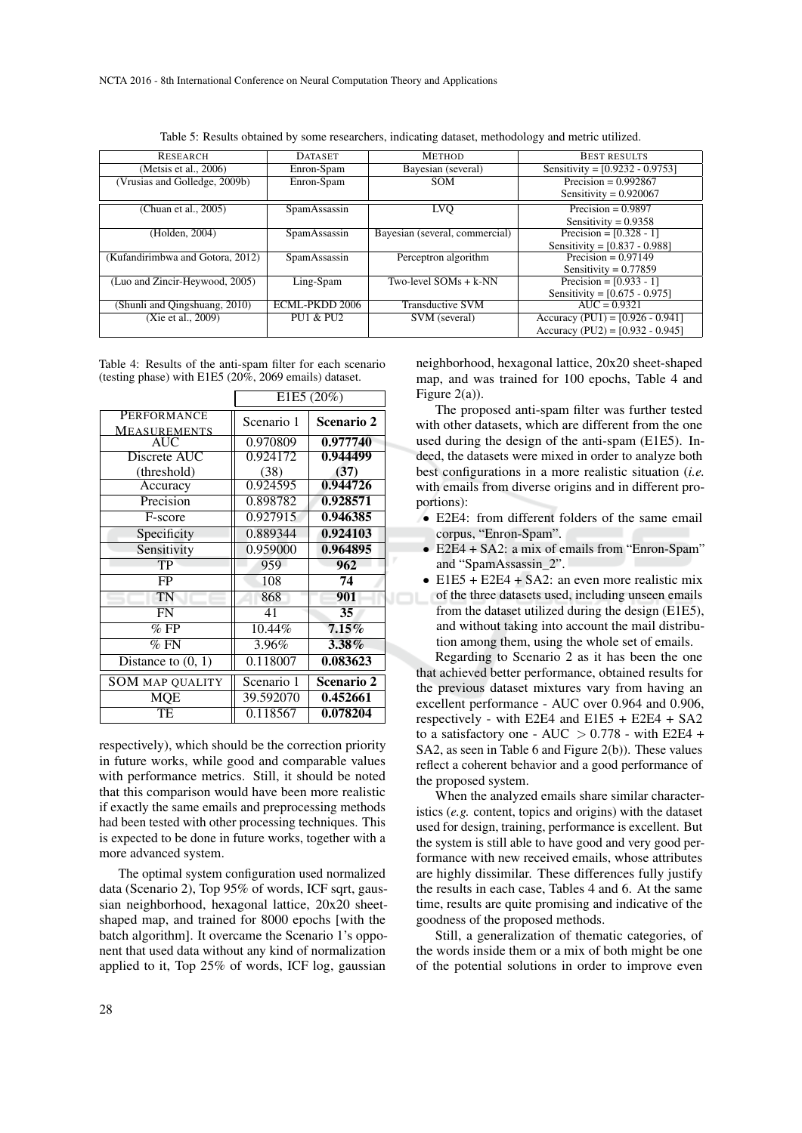| <b>RESEARCH</b>                  | <b>DATASET</b>       | <b>METHOD</b>                  | <b>BEST RESULTS</b>                |
|----------------------------------|----------------------|--------------------------------|------------------------------------|
| (Metsis et al., 2006)            | Enron-Spam           | Bayesian (several)             | Sensitivity = $[0.9232 - 0.9753]$  |
| (Vrusias and Golledge, 2009b)    | Enron-Spam           | <b>SOM</b>                     | Precision = $0.992867$             |
|                                  |                      |                                | Sensitivity = $0.920067$           |
| (Chuan et al., 2005)             | SpamAssassin         | LVO                            | Precision = $0.9897$               |
|                                  |                      |                                | Sensitivity = $0.9358$             |
| (Holden, 2004)                   | SpamAssassin         | Bayesian (several, commercial) | Precision = $[0.328 - 1]$          |
|                                  |                      |                                | Sensitivity = $[0.837 - 0.988]$    |
| (Kufandirimbwa and Gotora, 2012) | SpamAssassin         | Perceptron algorithm           | Precision = $0.97149$              |
|                                  |                      |                                | Sensitivity = $0.77859$            |
| (Luo and Zincir-Heywood, 2005)   | Ling-Spam            | Two-level $SOMs + k-NN$        | Precision = $[0.933 - 1]$          |
|                                  |                      |                                | Sensitivity = $[0.675 - 0.975]$    |
| (Shunli and Qingshuang, 2010)    | ECML-PKDD 2006       | <b>Transductive SVM</b>        | $AUC = 0.9321$                     |
| (Xie et al., 2009)               | <b>PU1 &amp; PU2</b> | SVM (several)                  | Accuracy (PU1) = $[0.926 - 0.941]$ |
|                                  |                      |                                | Accuracy (PU2) = $[0.932 - 0.945]$ |

Table 5: Results obtained by some researchers, indicating dataset, methodology and metric utilized.

Table 4: Results of the anti-spam filter for each scenario (testing phase) with E1E5 (20%, 2069 emails) dataset.

|                        | E1E5 (20%)            |                   |  |
|------------------------|-----------------------|-------------------|--|
| PERFORMANCE            | Scenario 1            | <b>Scenario 2</b> |  |
| <b>MEASUREMENTS</b>    |                       |                   |  |
| <b>AUC</b>             | 0.970809              | 0.977740          |  |
| Discrete AUC           | 0.924172              | 0.944499          |  |
| (threshold)            | (38)                  | (37)              |  |
| Accuracy               | $\overline{0.924595}$ | 0.944726          |  |
| Precision              | 0.898782              | 0.928571          |  |
| F-score                | 0.927915              | 0.946385          |  |
| Specificity            | 0.889344              | 0.924103          |  |
| Sensitivity            | 0.959000              | 0.964895          |  |
| TP                     | 959                   | 962               |  |
| FP                     | 108                   | 74                |  |
| TN                     | 868                   | 901               |  |
| FN                     | 41                    | 35                |  |
| $%$ FP                 | 10.44%                | 7.15%             |  |
| $%$ FN                 | 3.96%                 | 3.38%             |  |
| Distance to $(0, 1)$   | 0.118007              | 0.083623          |  |
| <b>SOM MAP QUALITY</b> | Scenario 1            | Scenario $2$      |  |
| MOE                    | 39.592070             | 0.452661          |  |
| TE                     | 0.118567              | 0.078204          |  |

respectively), which should be the correction priority in future works, while good and comparable values with performance metrics. Still, it should be noted that this comparison would have been more realistic if exactly the same emails and preprocessing methods had been tested with other processing techniques. This is expected to be done in future works, together with a more advanced system.

The optimal system configuration used normalized data (Scenario 2), Top 95% of words, ICF sqrt, gaussian neighborhood, hexagonal lattice, 20x20 sheetshaped map, and trained for 8000 epochs [with the batch algorithm]. It overcame the Scenario 1's opponent that used data without any kind of normalization applied to it, Top 25% of words, ICF log, gaussian

neighborhood, hexagonal lattice, 20x20 sheet-shaped map, and was trained for 100 epochs, Table 4 and Figure 2(a)).

The proposed anti-spam filter was further tested with other datasets, which are different from the one used during the design of the anti-spam (E1E5). Indeed, the datasets were mixed in order to analyze both best configurations in a more realistic situation (*i.e.* with emails from diverse origins and in different proportions):

- E2E4: from different folders of the same email corpus, "Enron-Spam".
- E2E4 + SA2: a mix of emails from "Enron-Spam" and "SpamAssassin\_2".
- E1E5 + E2E4 + SA2: an even more realistic mix of the three datasets used, including unseen emails from the dataset utilized during the design (E1E5), and without taking into account the mail distribution among them, using the whole set of emails.

Regarding to Scenario 2 as it has been the one that achieved better performance, obtained results for the previous dataset mixtures vary from having an excellent performance - AUC over 0.964 and 0.906, respectively - with E2E4 and E1E5 + E2E4 + SA2 to a satisfactory one - AUC  $> 0.778$  - with E2E4 + SA2, as seen in Table 6 and Figure 2(b)). These values reflect a coherent behavior and a good performance of the proposed system.

When the analyzed emails share similar characteristics (*e.g.* content, topics and origins) with the dataset used for design, training, performance is excellent. But the system is still able to have good and very good performance with new received emails, whose attributes are highly dissimilar. These differences fully justify the results in each case, Tables 4 and 6. At the same time, results are quite promising and indicative of the goodness of the proposed methods.

Still, a generalization of thematic categories, of the words inside them or a mix of both might be one of the potential solutions in order to improve even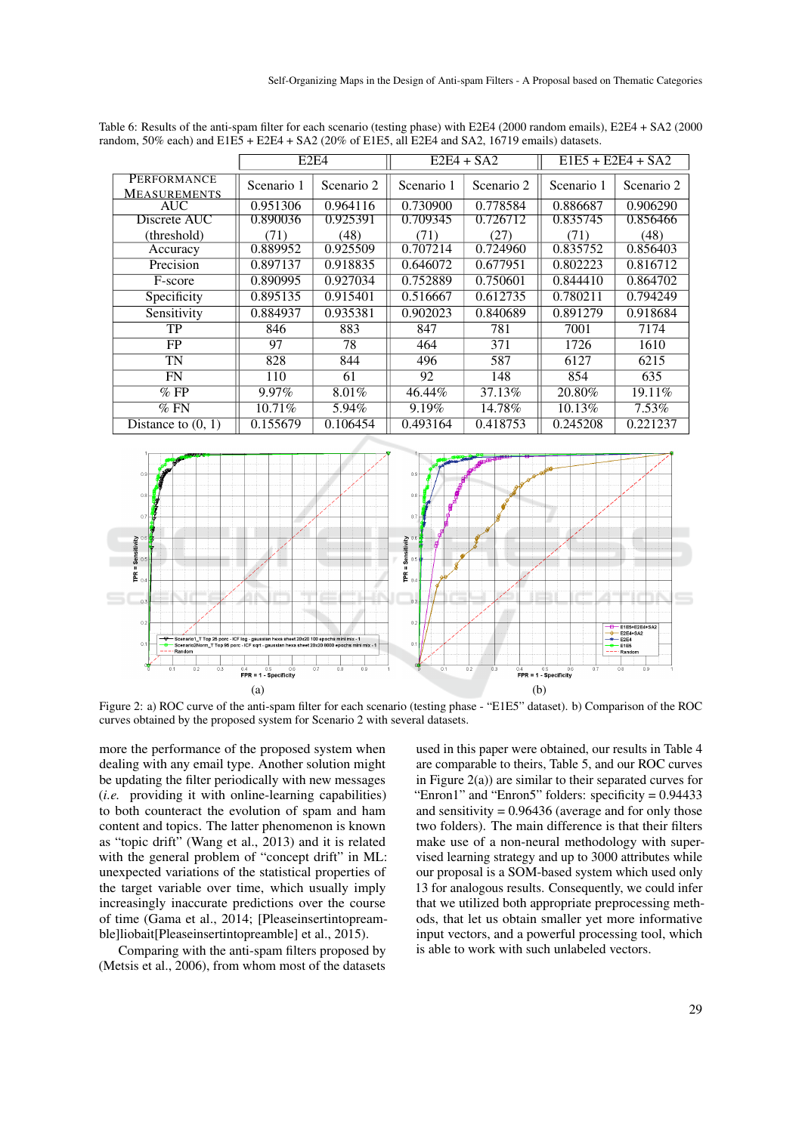|                                    | E <sub>2</sub> E <sub>4</sub> |            | $\overline{E2E4}$ + SA2 |            | $E1E5 + E2E4 + SA2$ |            |
|------------------------------------|-------------------------------|------------|-------------------------|------------|---------------------|------------|
| PERFORMANCE<br><b>MEASUREMENTS</b> | Scenario 1                    | Scenario 2 | Scenario 1              | Scenario 2 | Scenario 1          | Scenario 2 |
| AUC.                               | 0.951306                      | 0.964116   | 0.730900                | 0.778584   | 0.886687            | 0.906290   |
| Discrete AUC                       | 0.890036                      | 0.925391   | 0.709345                | 0.726712   | 0.835745            | 0.856466   |
| (threshold)                        | (71)                          | (48)       | (71)                    | (27)       | (71)                | (48)       |
| Accuracy                           | 0.889952                      | 0.925509   | 0.707214                | 0.724960   | 0.835752            | 0.856403   |
| Precision                          | 0.897137                      | 0.918835   | 0.646072                | 0.677951   | 0.802223            | 0.816712   |
| F-score                            | 0.890995                      | 0.927034   | 0.752889                | 0.750601   | 0.844410            | 0.864702   |
| Specificity                        | 0.895135                      | 0.915401   | 0.516667                | 0.612735   | 0.780211            | 0.794249   |
| Sensitivity                        | 0.884937                      | 0.935381   | 0.902023                | 0.840689   | 0.891279            | 0.918684   |
| TP                                 | 846                           | 883        | 847                     | 781        | 7001                | 7174       |
| <b>FP</b>                          | 97                            | 78         | 464                     | 371        | 1726                | 1610       |
| <b>TN</b>                          | 828                           | 844        | 496                     | 587        | 6127                | 6215       |
| FN                                 | 110                           | 61         | 92                      | 148        | 854                 | 635        |
| $\%$ FP                            | $9.97\%$                      | $8.01\%$   | 46.44%                  | 37.13%     | 20.80%              | $19.11\%$  |
| $%$ FN                             | 10.71%                        | 5.94%      | 9.19%                   | 14.78%     | 10.13%              | $7.53\%$   |
| Distance to $(0, 1)$               | 0.155679                      | 0.106454   | 0.493164                | 0.418753   | 0.245208            | 0.221237   |

Table 6: Results of the anti-spam filter for each scenario (testing phase) with E2E4 (2000 random emails), E2E4 + SA2 (2000 random, 50% each) and E1E5 + E2E4 + SA2 (20% of E1E5, all E2E4 and SA2, 16719 emails) datasets.



Figure 2: a) ROC curve of the anti-spam filter for each scenario (testing phase - "E1E5" dataset). b) Comparison of the ROC curves obtained by the proposed system for Scenario 2 with several datasets.

more the performance of the proposed system when dealing with any email type. Another solution might be updating the filter periodically with new messages (*i.e.* providing it with online-learning capabilities) to both counteract the evolution of spam and ham content and topics. The latter phenomenon is known as "topic drift" (Wang et al., 2013) and it is related with the general problem of "concept drift" in ML: unexpected variations of the statistical properties of the target variable over time, which usually imply increasingly inaccurate predictions over the course of time (Gama et al., 2014; [Pleaseinsertintopreamble]liobait[Pleaseinsertintopreamble] et al., 2015).

Comparing with the anti-spam filters proposed by (Metsis et al., 2006), from whom most of the datasets

used in this paper were obtained, our results in Table 4 are comparable to theirs, Table 5, and our ROC curves in Figure  $2(a)$ ) are similar to their separated curves for "Enron1" and "Enron5" folders: specificity = 0.94433 and sensitivity  $= 0.96436$  (average and for only those two folders). The main difference is that their filters make use of a non-neural methodology with supervised learning strategy and up to 3000 attributes while our proposal is a SOM-based system which used only 13 for analogous results. Consequently, we could infer that we utilized both appropriate preprocessing methods, that let us obtain smaller yet more informative input vectors, and a powerful processing tool, which is able to work with such unlabeled vectors.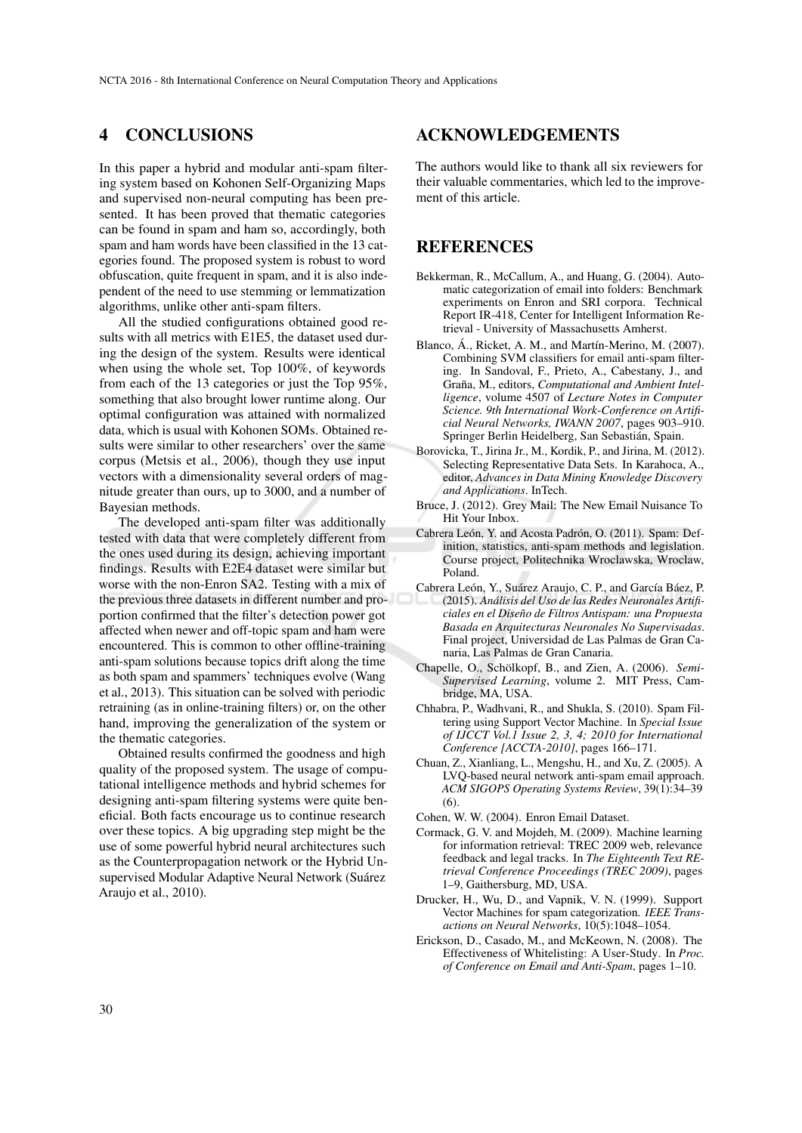## 4 CONCLUSIONS

In this paper a hybrid and modular anti-spam filtering system based on Kohonen Self-Organizing Maps and supervised non-neural computing has been presented. It has been proved that thematic categories can be found in spam and ham so, accordingly, both spam and ham words have been classified in the 13 categories found. The proposed system is robust to word obfuscation, quite frequent in spam, and it is also independent of the need to use stemming or lemmatization algorithms, unlike other anti-spam filters.

All the studied configurations obtained good results with all metrics with E1E5, the dataset used during the design of the system. Results were identical when using the whole set, Top 100%, of keywords from each of the 13 categories or just the Top 95%, something that also brought lower runtime along. Our optimal configuration was attained with normalized data, which is usual with Kohonen SOMs. Obtained results were similar to other researchers' over the same corpus (Metsis et al., 2006), though they use input vectors with a dimensionality several orders of magnitude greater than ours, up to 3000, and a number of Bayesian methods.

The developed anti-spam filter was additionally tested with data that were completely different from the ones used during its design, achieving important findings. Results with E2E4 dataset were similar but worse with the non-Enron SA2. Testing with a mix of the previous three datasets in different number and proportion confirmed that the filter's detection power got affected when newer and off-topic spam and ham were encountered. This is common to other offline-training anti-spam solutions because topics drift along the time as both spam and spammers' techniques evolve (Wang et al., 2013). This situation can be solved with periodic retraining (as in online-training filters) or, on the other hand, improving the generalization of the system or the thematic categories.

Obtained results confirmed the goodness and high quality of the proposed system. The usage of computational intelligence methods and hybrid schemes for designing anti-spam filtering systems were quite beneficial. Both facts encourage us to continue research over these topics. A big upgrading step might be the use of some powerful hybrid neural architectures such as the Counterpropagation network or the Hybrid Unsupervised Modular Adaptive Neural Network (Suárez Araujo et al., 2010).

## ACKNOWLEDGEMENTS

The authors would like to thank all six reviewers for their valuable commentaries, which led to the improvement of this article.

## **REFERENCES**

- Bekkerman, R., McCallum, A., and Huang, G. (2004). Automatic categorization of email into folders: Benchmark experiments on Enron and SRI corpora. Technical Report IR-418, Center for Intelligent Information Retrieval - University of Massachusetts Amherst.
- Blanco, Á., Ricket, A. M., and Martín-Merino, M. (2007). Combining SVM classifiers for email anti-spam filtering. In Sandoval, F., Prieto, A., Cabestany, J., and Graña, M., editors, *Computational and Ambient Intelligence*, volume 4507 of *Lecture Notes in Computer Science. 9th International Work-Conference on Artificial Neural Networks, IWANN 2007*, pages 903–910. Springer Berlin Heidelberg, San Sebastián, Spain.
- Borovicka, T., Jirina Jr., M., Kordik, P., and Jirina, M. (2012). Selecting Representative Data Sets. In Karahoca, A., editor, *Advances in Data Mining Knowledge Discovery and Applications*. InTech.
- Bruce, J. (2012). Grey Mail: The New Email Nuisance To Hit Your Inbox.
- Cabrera León, Y. and Acosta Padrón, O. (2011). Spam: Definition, statistics, anti-spam methods and legislation. Course project, Politechnika Wroclawska, Wroclaw, Poland.
- Cabrera León, Y., Suárez Araujo, C. P., and García Báez, P. (2015). *Análisis del Uso de las Redes Neuronales Artificiales en el Diseño de Filtros Antispam: una Propuesta Basada en Arquitecturas Neuronales No Supervisadas*. Final project, Universidad de Las Palmas de Gran Canaria, Las Palmas de Gran Canaria.
- Chapelle, O., Schölkopf, B., and Zien, A. (2006). *Semi-Supervised Learning*, volume 2. MIT Press, Cambridge, MA, USA.
- Chhabra, P., Wadhvani, R., and Shukla, S. (2010). Spam Filtering using Support Vector Machine. In *Special Issue of IJCCT Vol.1 Issue 2, 3, 4; 2010 for International Conference [ACCTA-2010]*, pages 166–171.
- Chuan, Z., Xianliang, L., Mengshu, H., and Xu, Z. (2005). A LVQ-based neural network anti-spam email approach. *ACM SIGOPS Operating Systems Review*, 39(1):34–39 (6).

Cohen, W. W. (2004). Enron Email Dataset.

- Cormack, G. V. and Mojdeh, M. (2009). Machine learning for information retrieval: TREC 2009 web, relevance feedback and legal tracks. In *The Eighteenth Text REtrieval Conference Proceedings (TREC 2009)*, pages 1–9, Gaithersburg, MD, USA.
- Drucker, H., Wu, D., and Vapnik, V. N. (1999). Support Vector Machines for spam categorization. *IEEE Transactions on Neural Networks*, 10(5):1048–1054.
- Erickson, D., Casado, M., and McKeown, N. (2008). The Effectiveness of Whitelisting: A User-Study. In *Proc. of Conference on Email and Anti-Spam*, pages 1–10.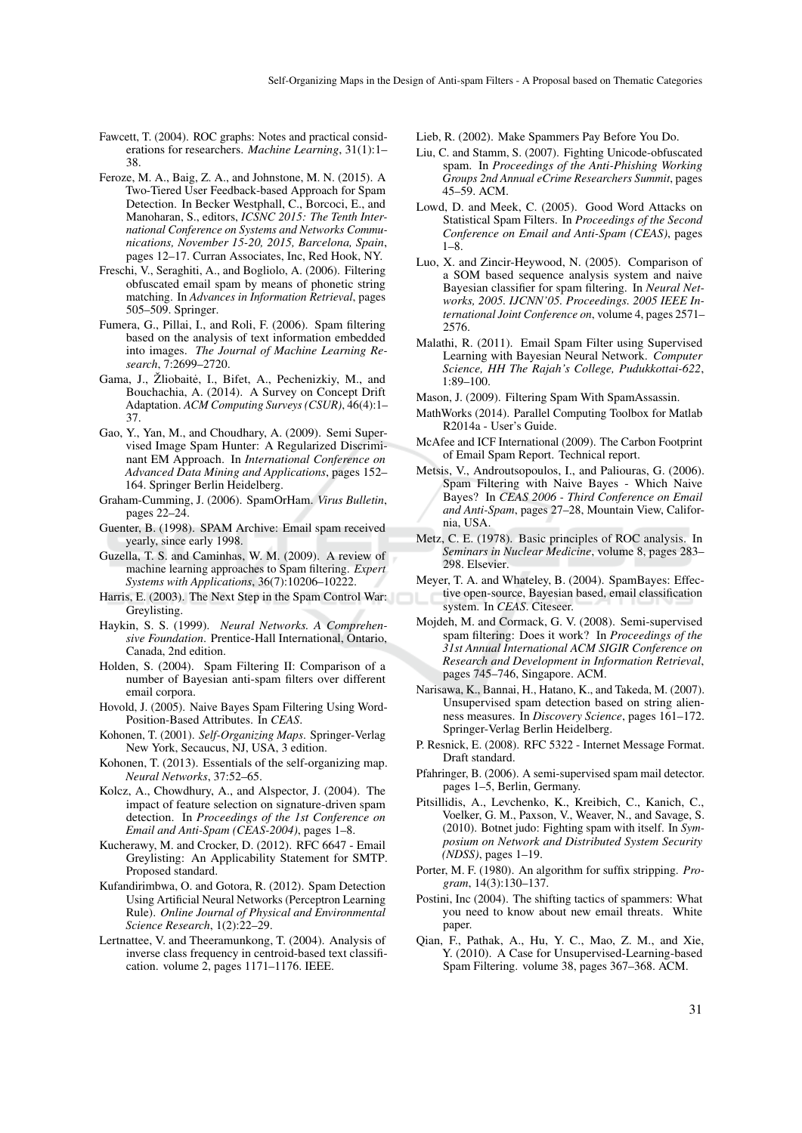- Fawcett, T. (2004). ROC graphs: Notes and practical considerations for researchers. *Machine Learning*, 31(1):1– 38.
- Feroze, M. A., Baig, Z. A., and Johnstone, M. N. (2015). A Two-Tiered User Feedback-based Approach for Spam Detection. In Becker Westphall, C., Borcoci, E., and Manoharan, S., editors, *ICSNC 2015: The Tenth International Conference on Systems and Networks Communications, November 15-20, 2015, Barcelona, Spain*, pages 12–17. Curran Associates, Inc, Red Hook, NY.
- Freschi, V., Seraghiti, A., and Bogliolo, A. (2006). Filtering obfuscated email spam by means of phonetic string matching. In *Advances in Information Retrieval*, pages 505–509. Springer.
- Fumera, G., Pillai, I., and Roli, F. (2006). Spam filtering based on the analysis of text information embedded into images. *The Journal of Machine Learning Research*, 7:2699–2720.
- Gama, J., Žliobaite, I., Bifet, A., Pechenizkiy, M., and ˙ Bouchachia, A. (2014). A Survey on Concept Drift Adaptation. *ACM Computing Surveys (CSUR)*, 46(4):1– 37.
- Gao, Y., Yan, M., and Choudhary, A. (2009). Semi Supervised Image Spam Hunter: A Regularized Discriminant EM Approach. In *International Conference on Advanced Data Mining and Applications*, pages 152– 164. Springer Berlin Heidelberg.
- Graham-Cumming, J. (2006). SpamOrHam. *Virus Bulletin*, pages 22–24.
- Guenter, B. (1998). SPAM Archive: Email spam received yearly, since early 1998.
- Guzella, T. S. and Caminhas, W. M. (2009). A review of machine learning approaches to Spam filtering. *Expert Systems with Applications*, 36(7):10206–10222.
- Harris, E. (2003). The Next Step in the Spam Control War: Greylisting.
- Haykin, S. S. (1999). *Neural Networks. A Comprehensive Foundation*. Prentice-Hall International, Ontario, Canada, 2nd edition.
- Holden, S. (2004). Spam Filtering II: Comparison of a number of Bayesian anti-spam filters over different email corpora.
- Hovold, J. (2005). Naive Bayes Spam Filtering Using Word-Position-Based Attributes. In *CEAS*.
- Kohonen, T. (2001). *Self-Organizing Maps*. Springer-Verlag New York, Secaucus, NJ, USA, 3 edition.
- Kohonen, T. (2013). Essentials of the self-organizing map. *Neural Networks*, 37:52–65.
- Kolcz, A., Chowdhury, A., and Alspector, J. (2004). The impact of feature selection on signature-driven spam detection. In *Proceedings of the 1st Conference on Email and Anti-Spam (CEAS-2004)*, pages 1–8.
- Kucherawy, M. and Crocker, D. (2012). RFC 6647 Email Greylisting: An Applicability Statement for SMTP. Proposed standard.
- Kufandirimbwa, O. and Gotora, R. (2012). Spam Detection Using Artificial Neural Networks (Perceptron Learning Rule). *Online Journal of Physical and Environmental Science Research*, 1(2):22–29.
- Lertnattee, V. and Theeramunkong, T. (2004). Analysis of inverse class frequency in centroid-based text classification. volume 2, pages 1171–1176. IEEE.

Lieb, R. (2002). Make Spammers Pay Before You Do.

- Liu, C. and Stamm, S. (2007). Fighting Unicode-obfuscated spam. In *Proceedings of the Anti-Phishing Working Groups 2nd Annual eCrime Researchers Summit*, pages 45–59. ACM.
- Lowd, D. and Meek, C. (2005). Good Word Attacks on Statistical Spam Filters. In *Proceedings of the Second Conference on Email and Anti-Spam (CEAS)*, pages 1–8.
- Luo, X. and Zincir-Heywood, N. (2005). Comparison of a SOM based sequence analysis system and naive Bayesian classifier for spam filtering. In *Neural Networks, 2005. IJCNN'05. Proceedings. 2005 IEEE International Joint Conference on*, volume 4, pages 2571– 2576.
- Malathi, R. (2011). Email Spam Filter using Supervised Learning with Bayesian Neural Network. *Computer Science, HH The Rajah's College, Pudukkottai-622*, 1:89–100.
- Mason, J. (2009). Filtering Spam With SpamAssassin.
- MathWorks (2014). Parallel Computing Toolbox for Matlab R2014a - User's Guide.
- McAfee and ICF International (2009). The Carbon Footprint of Email Spam Report. Technical report.
- Metsis, V., Androutsopoulos, I., and Paliouras, G. (2006). Spam Filtering with Naive Bayes - Which Naive Bayes? In *CEAS 2006 - Third Conference on Email and Anti-Spam*, pages 27–28, Mountain View, California, USA.
- Metz, C. E. (1978). Basic principles of ROC analysis. In *Seminars in Nuclear Medicine*, volume 8, pages 283– 298. Elsevier.
- Meyer, T. A. and Whateley, B. (2004). SpamBayes: Effective open-source, Bayesian based, email classification system. In *CEAS*. Citeseer.
- Mojdeh, M. and Cormack, G. V. (2008). Semi-supervised spam filtering: Does it work? In *Proceedings of the 31st Annual International ACM SIGIR Conference on Research and Development in Information Retrieval*, pages 745–746, Singapore. ACM.
- Narisawa, K., Bannai, H., Hatano, K., and Takeda, M. (2007). Unsupervised spam detection based on string alienness measures. In *Discovery Science*, pages 161–172. Springer-Verlag Berlin Heidelberg.
- P. Resnick, E. (2008). RFC 5322 Internet Message Format. Draft standard.
- Pfahringer, B. (2006). A semi-supervised spam mail detector. pages 1–5, Berlin, Germany.
- Pitsillidis, A., Levchenko, K., Kreibich, C., Kanich, C., Voelker, G. M., Paxson, V., Weaver, N., and Savage, S. (2010). Botnet judo: Fighting spam with itself. In *Symposium on Network and Distributed System Security (NDSS)*, pages 1–19.
- Porter, M. F. (1980). An algorithm for suffix stripping. *Program*, 14(3):130–137.
- Postini, Inc (2004). The shifting tactics of spammers: What you need to know about new email threats. White paper.
- Qian, F., Pathak, A., Hu, Y. C., Mao, Z. M., and Xie, Y. (2010). A Case for Unsupervised-Learning-based Spam Filtering. volume 38, pages 367–368. ACM.